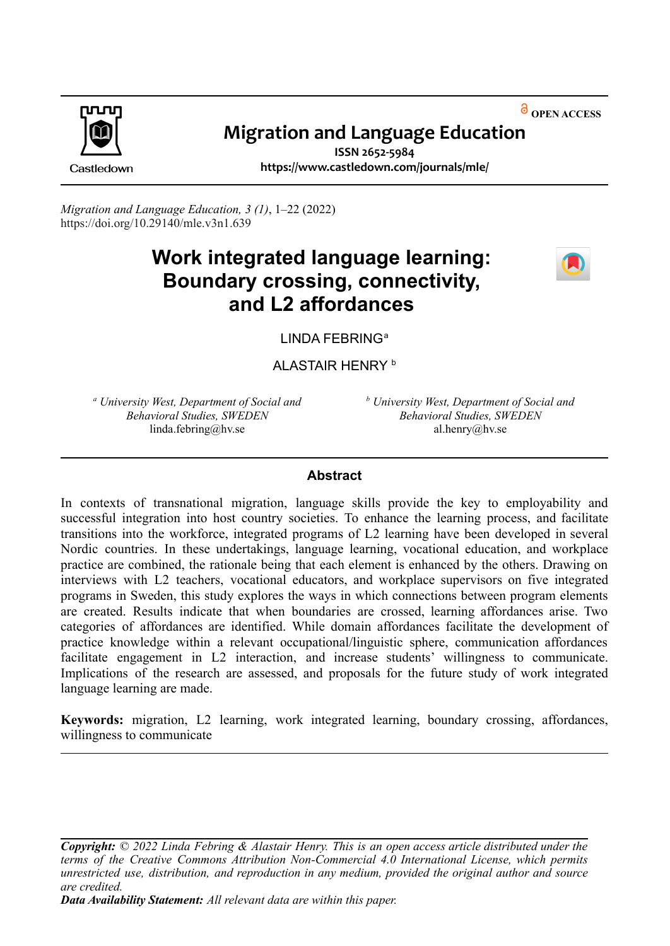**OPEN ACCESS**



# **Migration and Language Education**

Castledown

**ISSN 2652-5984 https://www.castledown.com/journals/mle/**

*Migration and Language Education, 3 (1)*, 1–22 (2022) [https://doi.org/10.29140/mle.v3n1.639](https://doi.org/10.29140/mle.v2n1.489)

# **Work integrated language learning: Boundary crossing, connectivity, and L2 affordances**



LINDA FEBRING<sup>a</sup>

ALASTAIR HENRY b

*<sup>a</sup> University West, Department of Social and Behavioral Studies, SWEDEN* linda.febring@hv.se

*<sup>b</sup> University West, Department of Social and Behavioral Studies, SWEDEN* al.henry@hv.se

# **Abstract**

In contexts of transnational migration, language skills provide the key to employability and successful integration into host country societies. To enhance the learning process, and facilitate transitions into the workforce, integrated programs of L2 learning have been developed in several Nordic countries. In these undertakings, language learning, vocational education, and workplace practice are combined, the rationale being that each element is enhanced by the others. Drawing on interviews with L2 teachers, vocational educators, and workplace supervisors on five integrated programs in Sweden, this study explores the ways in which connections between program elements are created. Results indicate that when boundaries are crossed, learning affordances arise. Two categories of affordances are identified. While domain affordances facilitate the development of practice knowledge within a relevant occupational/linguistic sphere, communication affordances facilitate engagement in L<sub>2</sub> interaction, and increase students' willingness to communicate. Implications of the research are assessed, and proposals for the future study of work integrated language learning are made.

**Keywords:** migration, L2 learning, work integrated learning, boundary crossing, affordances, willingness to communicate

*Copyright: © 2022 Linda Febring & Alastair Henry. This is an open access article distributed under the terms of the Creative Commons Attribution [Non-Commercial](http://creativecommons.org/licenses/by-nc-nd/4.0) 4.0 International License, which permits unrestricted use, distribution, and reproduction in any medium, provided the original author and source are credited.*

*Data Availability Statement: All relevant data are within this paper.*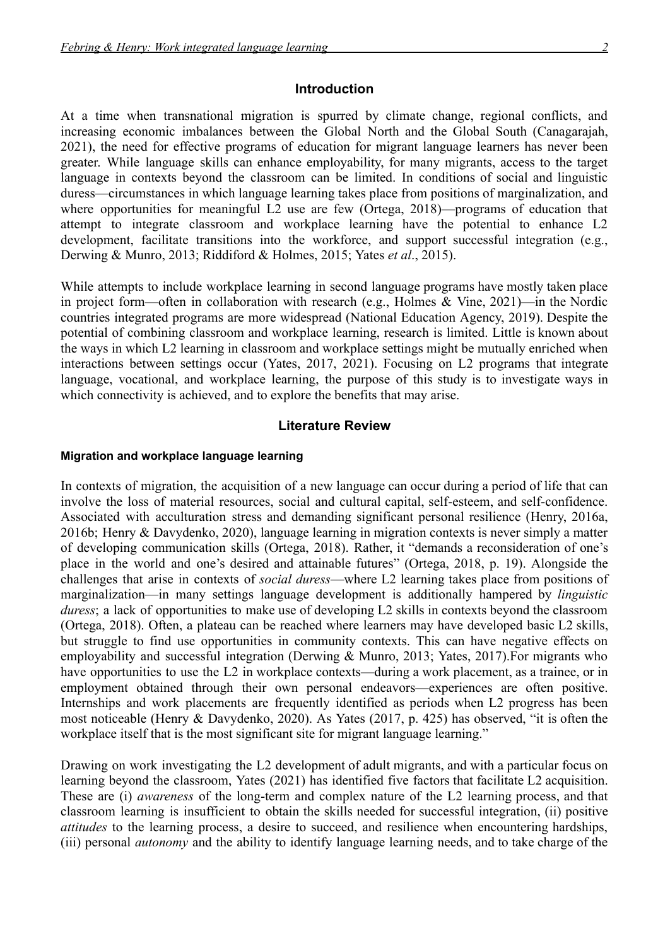#### **Introduction**

At a time when transnational migration is spurred by climate change, regional conflicts, and increasing economic imbalances between the Global North and the Global South (Canagarajah, 2021), the need for effective programs of education for migrant language learners has never been greater. While language skills can enhance employability, for many migrants, access to the target language in contexts beyond the classroom can be limited. In conditions of social and linguistic duress—circumstances in which language learning takes place from positions of marginalization, and where opportunities for meaningful L2 use are few (Ortega, 2018)—programs of education that attempt to integrate classroom and workplace learning have the potential to enhance L2 development, facilitate transitions into the workforce, and support successful integration (e.g., Derwing & Munro, 2013; Riddiford & Holmes, 2015; Yates *et al*., 2015).

While attempts to include workplace learning in second language programs have mostly taken place in project form—often in collaboration with research (e.g., Holmes & Vine, 2021)—in the Nordic countries integrated programs are more widespread (National Education Agency, 2019). Despite the potential of combining classroom and workplace learning, research is limited. Little is known about the ways in which L2 learning in classroom and workplace settings might be mutually enriched when interactions between settings occur (Yates, 2017, 2021). Focusing on L2 programs that integrate language, vocational, and workplace learning, the purpose of this study is to investigate ways in which connectivity is achieved, and to explore the benefits that may arise.

#### **Literature Review**

#### **Migration and workplace language learning**

In contexts of migration, the acquisition of a new language can occur during a period of life that can involve the loss of material resources, social and cultural capital, self-esteem, and self-confidence. Associated with acculturation stress and demanding significant personal resilience (Henry, 2016a, 2016b; Henry & Davydenko, 2020), language learning in migration contexts is never simply a matter of developing communication skills (Ortega, 2018). Rather, it "demands a reconsideration of one's place in the world and one's desired and attainable futures" (Ortega, 2018, p. 19). Alongside the challenges that arise in contexts of *social duress*—where L2 learning takes place from positions of marginalization—in many settings language development is additionally hampered by *linguistic duress*; a lack of opportunities to make use of developing L2 skills in contexts beyond the classroom (Ortega, 2018). Often, a plateau can be reached where learners may have developed basic L2 skills, but struggle to find use opportunities in community contexts. This can have negative effects on employability and successful integration (Derwing & Munro, 2013; Yates, 2017).For migrants who have opportunities to use the L2 in workplace contexts—during a work placement, as a trainee, or in employment obtained through their own personal endeavors—experiences are often positive. Internships and work placements are frequently identified as periods when L2 progress has been most noticeable (Henry & Davydenko, 2020). As Yates (2017, p. 425) has observed, "it is often the workplace itself that is the most significant site for migrant language learning."

Drawing on work investigating the L2 development of adult migrants, and with a particular focus on learning beyond the classroom, Yates (2021) has identified five factors that facilitate L2 acquisition. These are (i) *awareness* of the long-term and complex nature of the L2 learning process, and that classroom learning is insufficient to obtain the skills needed for successful integration, (ii) positive *attitudes* to the learning process, a desire to succeed, and resilience when encountering hardships, (iii) personal *autonomy* and the ability to identify language learning needs, and to take charge of the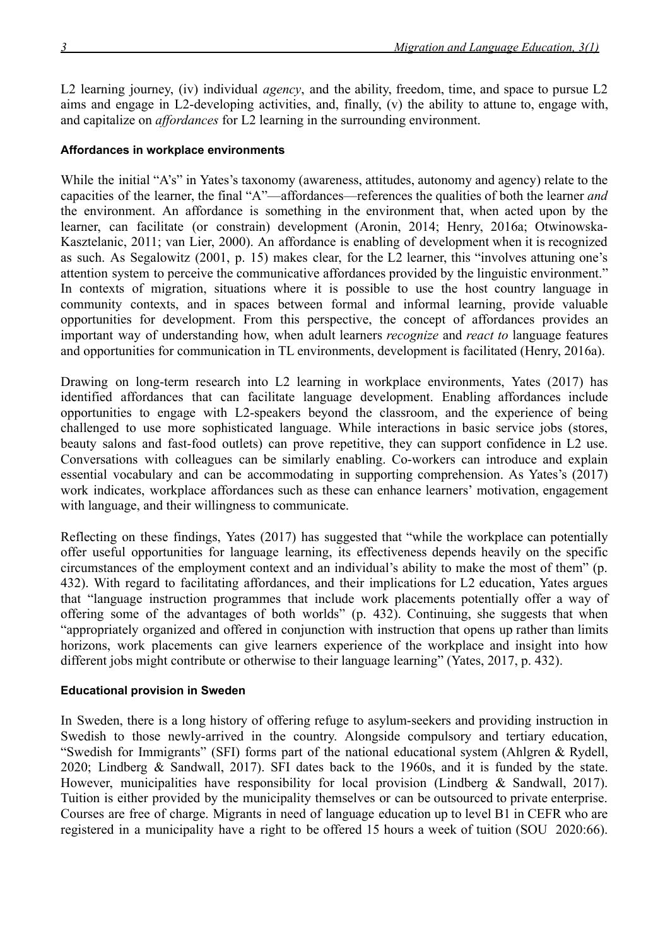L2 learning journey, (iv) individual *agency*, and the ability, freedom, time, and space to pursue L2 aims and engage in L2-developing activities, and, finally, (v) the ability to attune to, engage with, and capitalize on *affordances* for L2 learning in the surrounding environment.

#### **Affordances in workplace environments**

While the initial "A's" in Yates's taxonomy (awareness, attitudes, autonomy and agency) relate to the capacities of the learner, the final "A"—affordances—references the qualities of both the learner *and* the environment. An affordance is something in the environment that, when acted upon by the learner, can facilitate (or constrain) development (Aronin, 2014; Henry, 2016a; Otwinowska-Kasztelanic, 2011; van Lier, 2000). An affordance is enabling of development when it is recognized as such. As Segalowitz (2001, p. 15) makes clear, for the L2 learner, this "involves attuning one's attention system to perceive the communicative affordances provided by the linguistic environment." In contexts of migration, situations where it is possible to use the host country language in community contexts, and in spaces between formal and informal learning, provide valuable opportunities for development. From this perspective, the concept of affordances provides an important way of understanding how, when adult learners *recognize* and *react to* language features and opportunities for communication in TL environments, development is facilitated (Henry, 2016a).

Drawing on long-term research into L2 learning in workplace environments, Yates (2017) has identified affordances that can facilitate language development. Enabling affordances include opportunities to engage with L2-speakers beyond the classroom, and the experience of being challenged to use more sophisticated language. While interactions in basic service jobs (stores, beauty salons and fast-food outlets) can prove repetitive, they can support confidence in L2 use. Conversations with colleagues can be similarly enabling. Co-workers can introduce and explain essential vocabulary and can be accommodating in supporting comprehension. As Yates's (2017) work indicates, workplace affordances such as these can enhance learners' motivation, engagement with language, and their willingness to communicate.

Reflecting on these findings, Yates (2017) has suggested that "while the workplace can potentially offer useful opportunities for language learning, its effectiveness depends heavily on the specific circumstances of the employment context and an individual's ability to make the most of them" (p. 432). With regard to facilitating affordances, and their implications for L2 education, Yates argues that "language instruction programmes that include work placements potentially offer a way of offering some of the advantages of both worlds" (p. 432). Continuing, she suggests that when "appropriately organized and offered in conjunction with instruction that opens up rather than limits horizons, work placements can give learners experience of the workplace and insight into how different jobs might contribute or otherwise to their language learning" (Yates, 2017, p. 432).

#### **Educational provision in Sweden**

In Sweden, there is a long history of offering refuge to asylum-seekers and providing instruction in Swedish to those newly-arrived in the country. Alongside compulsory and tertiary education, "Swedish for Immigrants" (SFI) forms part of the national educational system (Ahlgren & Rydell, 2020; Lindberg & Sandwall, 2017). SFI dates back to the 1960s, and it is funded by the state. However, municipalities have responsibility for local provision (Lindberg & Sandwall, 2017). Tuition is either provided by the municipality themselves or can be outsourced to private enterprise. Courses are free of charge. Migrants in need of language education up to level B1 in CEFR who are registered in a municipality have a right to be offered 15 hours a week of tuition (SOU 2020:66).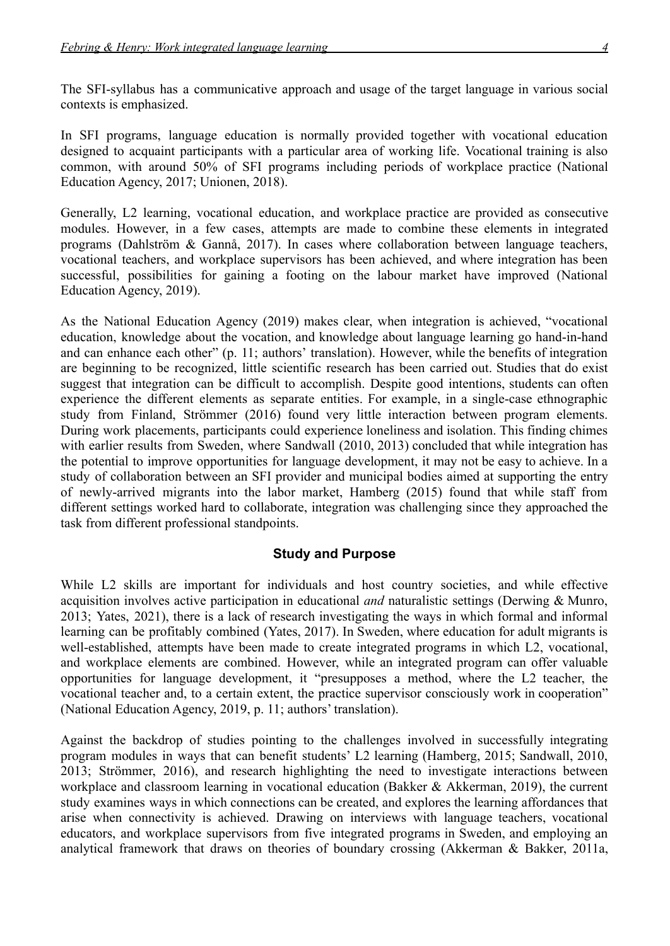The SFI-syllabus has a communicative approach and usage of the target language in various social contexts is emphasized.

In SFI programs, language education is normally provided together with vocational education designed to acquaint participants with a particular area of working life. Vocational training is also common, with around 50% of SFI programs including periods of workplace practice (National Education Agency, 2017; Unionen, 2018).

Generally, L2 learning, vocational education, and workplace practice are provided as consecutive modules. However, in a few cases, attempts are made to combine these elements in integrated programs (Dahlström & Gannå, 2017). In cases where collaboration between language teachers, vocational teachers, and workplace supervisors has been achieved, and where integration has been successful, possibilities for gaining a footing on the labour market have improved (National Education Agency, 2019).

As the National Education Agency (2019) makes clear, when integration is achieved, "vocational education, knowledge about the vocation, and knowledge about language learning go hand-in-hand and can enhance each other" (p. 11; authors' translation). However, while the benefits of integration are beginning to be recognized, little scientific research has been carried out. Studies that do exist suggest that integration can be difficult to accomplish. Despite good intentions, students can often experience the different elements as separate entities. For example, in a single-case ethnographic study from Finland, Strömmer (2016) found very little interaction between program elements. During work placements, participants could experience loneliness and isolation. This finding chimes with earlier results from Sweden, where Sandwall (2010, 2013) concluded that while integration has the potential to improve opportunities for language development, it may not be easy to achieve. In a study of collaboration between an SFI provider and municipal bodies aimed at supporting the entry of newly-arrived migrants into the labor market, Hamberg (2015) found that while staff from different settings worked hard to collaborate, integration was challenging since they approached the task from different professional standpoints.

# **Study and Purpose**

While L2 skills are important for individuals and host country societies, and while effective acquisition involves active participation in educational *and* naturalistic settings (Derwing & Munro, 2013; Yates, 2021), there is a lack of research investigating the ways in which formal and informal learning can be profitably combined (Yates, 2017). In Sweden, where education for adult migrants is well-established, attempts have been made to create integrated programs in which L2, vocational, and workplace elements are combined. However, while an integrated program can offer valuable opportunities for language development, it "presupposes a method, where the L2 teacher, the vocational teacher and, to a certain extent, the practice supervisor consciously work in cooperation" (National Education Agency, 2019, p. 11; authors' translation).

Against the backdrop of studies pointing to the challenges involved in successfully integrating program modules in ways that can benefit students' L2 learning (Hamberg, 2015; Sandwall, 2010, 2013; Strömmer, 2016), and research highlighting the need to investigate interactions between workplace and classroom learning in vocational education (Bakker & Akkerman, 2019), the current study examines ways in which connections can be created, and explores the learning affordances that arise when connectivity is achieved. Drawing on interviews with language teachers, vocational educators, and workplace supervisors from five integrated programs in Sweden, and employing an analytical framework that draws on theories of boundary crossing (Akkerman & Bakker, 2011a,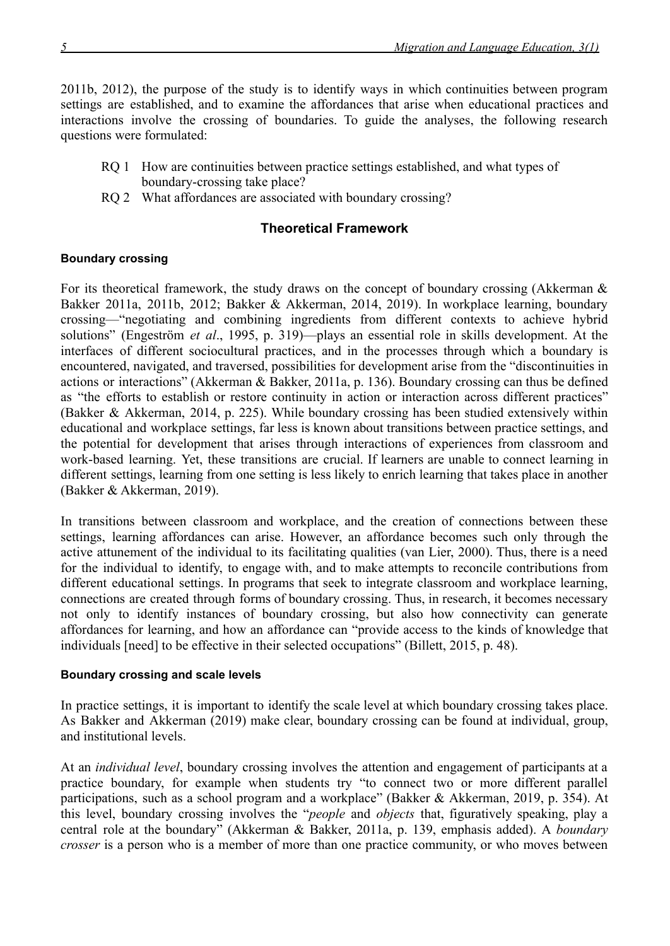2011b, 2012), the purpose of the study is to identify ways in which continuities between program settings are established, and to examine the affordances that arise when educational practices and interactions involve the crossing of boundaries. To guide the analyses, the following research questions were formulated:

- RQ 1 How are continuities between practice settings established, and what types of boundary-crossing take place?
- RO 2 What affordances are associated with boundary crossing?

# **Theoretical Framework**

# **Boundary crossing**

For its theoretical framework, the study draws on the concept of boundary crossing (Akkerman  $\&$ Bakker 2011a, 2011b, 2012; Bakker & Akkerman, 2014, 2019). In workplace learning, boundary crossing—"negotiating and combining ingredients from different contexts to achieve hybrid solutions" (Engeström *et al*., 1995, p. 319)—plays an essential role in skills development. At the interfaces of different sociocultural practices, and in the processes through which a boundary is encountered, navigated, and traversed, possibilities for development arise from the "discontinuities in actions or interactions" (Akkerman & Bakker, 2011a, p. 136). Boundary crossing can thus be defined as "the efforts to establish or restore continuity in action or interaction across different practices" (Bakker & Akkerman, 2014, p. 225). While boundary crossing has been studied extensively within educational and workplace settings, far less is known about transitions between practice settings, and the potential for development that arises through interactions of experiences from classroom and work-based learning. Yet, these transitions are crucial. If learners are unable to connect learning in different settings, learning from one setting is less likely to enrich learning that takes place in another (Bakker & Akkerman, 2019).

In transitions between classroom and workplace, and the creation of connections between these settings, learning affordances can arise. However, an affordance becomes such only through the active attunement of the individual to its facilitating qualities (van Lier, 2000). Thus, there is a need for the individual to identify, to engage with, and to make attempts to reconcile contributions from different educational settings. In programs that seek to integrate classroom and workplace learning, connections are created through forms of boundary crossing. Thus, in research, it becomes necessary not only to identify instances of boundary crossing, but also how connectivity can generate affordances for learning, and how an affordance can "provide access to the kinds of knowledge that individuals [need] to be effective in their selected occupations" (Billett, 2015, p. 48).

## **Boundary crossing and scale levels**

In practice settings, it is important to identify the scale level at which boundary crossing takes place. As Bakker and Akkerman (2019) make clear, boundary crossing can be found at individual, group, and institutional levels.

At an *individual level*, boundary crossing involves the attention and engagement of participants at a practice boundary, for example when students try "to connect two or more different parallel participations, such as a school program and a workplace" (Bakker & Akkerman, 2019, p. 354). At this level, boundary crossing involves the "*people* and *objects* that, figuratively speaking, play a central role at the boundary" (Akkerman & Bakker, 2011a, p. 139, emphasis added). A *boundary crosser* is a person who is a member of more than one practice community, or who moves between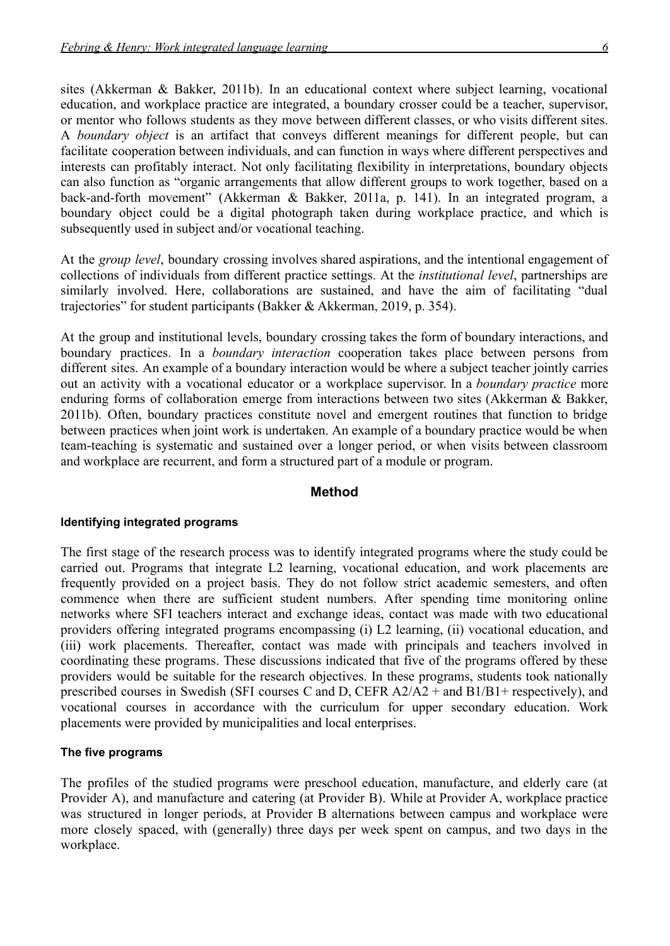sites (Akkerman & Bakker, 2011b). In an educational context where subject learning, vocational education, and workplace practice are integrated, a boundary crosser could be a teacher, supervisor, or mentor who follows students as they move between different classes, or who visits different sites. A *boundary object* is an artifact that conveys different meanings for different people, but can facilitate cooperation between individuals, and can function in ways where different perspectives and interests can profitably interact. Not only facilitating flexibility in interpretations, boundary objects can also function as "organic arrangements that allow different groups to work together, based on a back-and-forth movement" (Akkerman & Bakker, 2011a, p. 141). In an integrated program, a boundary object could be a digital photograph taken during workplace practice, and which is subsequently used in subject and/or vocational teaching.

At the *group level*, boundary crossing involves shared aspirations, and the intentional engagement of collections of individuals from different practice settings. At the *institutional level*, partnerships are similarly involved. Here, collaborations are sustained, and have the aim of facilitating "dual trajectories" for student participants (Bakker & Akkerman, 2019, p. 354).

At the group and institutional levels, boundary crossing takes the form of boundary interactions, and boundary practices. In a *boundary interaction* cooperation takes place between persons from different sites. An example of a boundary interaction would be where a subject teacher jointly carries out an activity with a vocational educator or a workplace supervisor. In a *boundary practice* more enduring forms of collaboration emerge from interactions between two sites (Akkerman & Bakker, 2011b). Often, boundary practices constitute novel and emergent routines that function to bridge between practices when joint work is undertaken. An example of a boundary practice would be when team-teaching is systematic and sustained over a longer period, or when visits between classroom and workplace are recurrent, and form a structured part of a module or program.

#### **Method**

#### **Identifying integrated programs**

The first stage of the research process was to identify integrated programs where the study could be carried out. Programs that integrate L2 learning, vocational education, and work placements are frequently provided on a project basis. They do not follow strict academic semesters, and often commence when there are sufficient student numbers. After spending time monitoring online networks where SFI teachers interact and exchange ideas, contact was made with two educational providers offering integrated programs encompassing (i) L2 learning, (ii) vocational education, and (iii) work placements. Thereafter, contact was made with principals and teachers involved in coordinating these programs. These discussions indicated that five of the programs offered by these providers would be suitable for the research objectives. In these programs, students took nationally prescribed courses in Swedish (SFI courses C and D, CEFR A2/A2 + and B1/B1+ respectively), and vocational courses in accordance with the curriculum for upper secondary education. Work placements were provided by municipalities and local enterprises.

#### **The five programs**

The profiles of the studied programs were preschool education, manufacture, and elderly care (at Provider A), and manufacture and catering (at Provider B). While at Provider A, workplace practice was structured in longer periods, at Provider B alternations between campus and workplace were more closely spaced, with (generally) three days per week spent on campus, and two days in the workplace.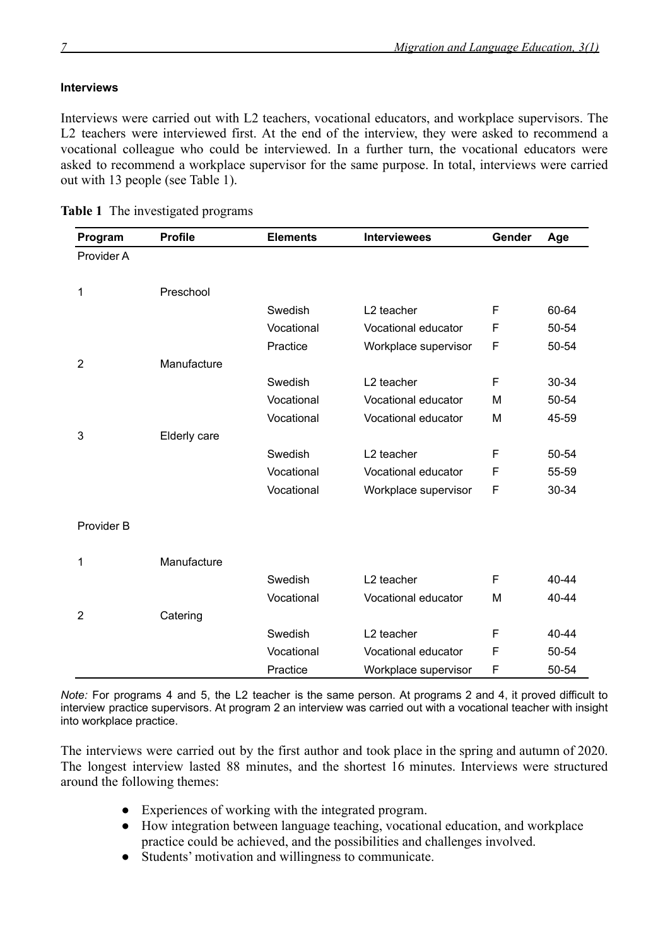## **Interviews**

Interviews were carried out with L2 teachers, vocational educators, and workplace supervisors. The L2 teachers were interviewed first. At the end of the interview, they were asked to recommend a vocational colleague who could be interviewed. In a further turn, the vocational educators were asked to recommend a workplace supervisor for the same purpose. In total, interviews were carried out with 13 people (see Table 1).

| Program        | <b>Profile</b> | <b>Elements</b> | <b>Interviewees</b>    | Gender | Age   |
|----------------|----------------|-----------------|------------------------|--------|-------|
| Provider A     |                |                 |                        |        |       |
|                |                |                 |                        |        |       |
| 1              | Preschool      |                 |                        |        |       |
|                |                | Swedish         | L2 teacher             | F      | 60-64 |
|                |                | Vocational      | Vocational educator    | F      | 50-54 |
|                |                | Practice        | Workplace supervisor   | F      | 50-54 |
| $\overline{2}$ | Manufacture    |                 |                        |        |       |
|                |                | Swedish         | L <sub>2</sub> teacher | F      | 30-34 |
|                |                | Vocational      | Vocational educator    | M      | 50-54 |
|                |                | Vocational      | Vocational educator    | M      | 45-59 |
| 3              | Elderly care   |                 |                        |        |       |
|                |                | Swedish         | L <sub>2</sub> teacher | F      | 50-54 |
|                |                | Vocational      | Vocational educator    | F      | 55-59 |
|                |                | Vocational      | Workplace supervisor   | F      | 30-34 |
| Provider B     |                |                 |                        |        |       |
|                |                |                 |                        |        |       |
| 1              | Manufacture    |                 |                        |        |       |
|                |                | Swedish         | L2 teacher             | F      | 40-44 |
|                |                | Vocational      | Vocational educator    | M      | 40-44 |
| $\overline{2}$ | Catering       |                 |                        |        |       |
|                |                | Swedish         | L2 teacher             | F      | 40-44 |
|                |                | Vocational      | Vocational educator    | F      | 50-54 |
|                |                | Practice        | Workplace supervisor   | F      | 50-54 |

**Table 1** The investigated programs

*Note:* For programs 4 and 5, the L2 teacher is the same person. At programs 2 and 4, it proved difficult to interview practice supervisors. At program 2 an interview was carried out with a vocational teacher with insight into workplace practice.

The interviews were carried out by the first author and took place in the spring and autumn of 2020. The longest interview lasted 88 minutes, and the shortest 16 minutes. Interviews were structured around the following themes:

- Experiences of working with the integrated program.
- How integration between language teaching, vocational education, and workplace practice could be achieved, and the possibilities and challenges involved.
- Students' motivation and willingness to communicate.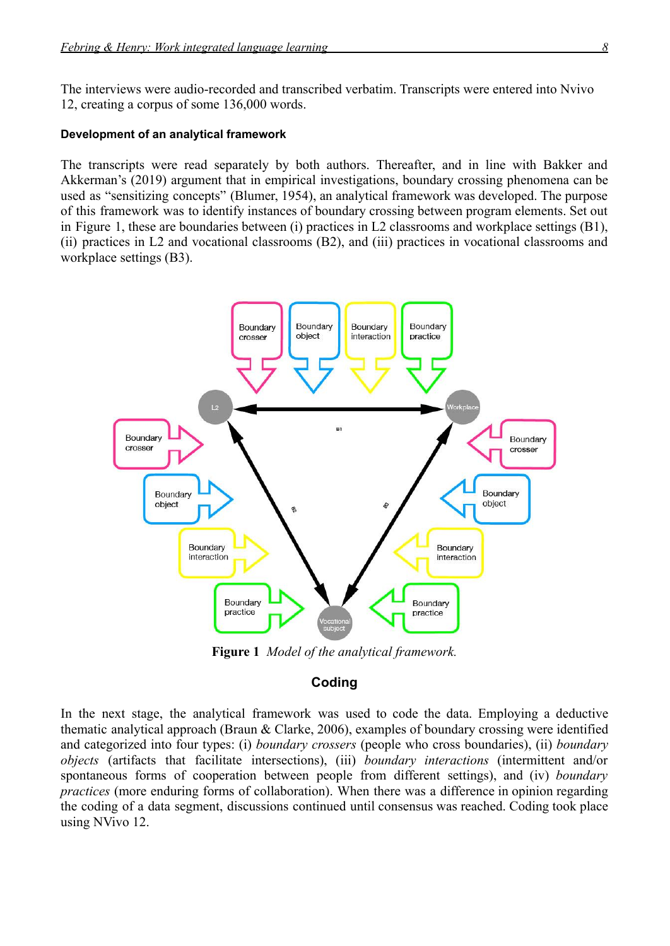The interviews were audio-recorded and transcribed verbatim. Transcripts were entered into Nvivo 12, creating a corpus of some 136,000 words.

#### **Development of an analytical framework**

The transcripts were read separately by both authors. Thereafter, and in line with Bakker and Akkerman's (2019) argument that in empirical investigations, boundary crossing phenomena can be used as "sensitizing concepts" (Blumer, 1954), an analytical framework was developed. The purpose of this framework was to identify instances of boundary crossing between program elements. Set out in Figure 1, these are boundaries between (i) practices in L2 classrooms and workplace settings (B1), (ii) practices in L2 and vocational classrooms (B2), and (iii) practices in vocational classrooms and workplace settings (B3).



**Figure 1** *Model of the analytical framework.*

## **Coding**

In the next stage, the analytical framework was used to code the data. Employing a deductive thematic analytical approach (Braun & Clarke, 2006), examples of boundary crossing were identified and categorized into four types: (i) *boundary crossers* (people who cross boundaries), (ii) *boundary objects* (artifacts that facilitate intersections), (iii) *boundary interactions* (intermittent and/or spontaneous forms of cooperation between people from different settings), and (iv) *boundary practices* (more enduring forms of collaboration). When there was a difference in opinion regarding the coding of a data segment, discussions continued until consensus was reached. Coding took place using NVivo 12.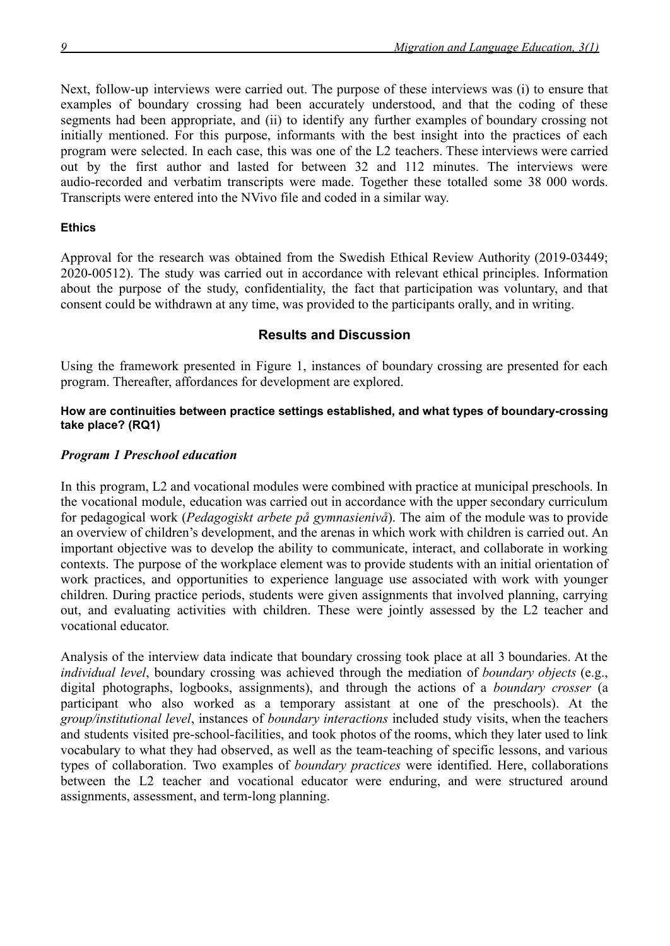Next, follow-up interviews were carried out. The purpose of these interviews was (i) to ensure that examples of boundary crossing had been accurately understood, and that the coding of these segments had been appropriate, and (ii) to identify any further examples of boundary crossing not initially mentioned. For this purpose, informants with the best insight into the practices of each program were selected. In each case, this was one of the L2 teachers. These interviews were carried out by the first author and lasted for between 32 and 112 minutes. The interviews were audio-recorded and verbatim transcripts were made. Together these totalled some 38 000 words. Transcripts were entered into the NVivo file and coded in a similar way.

# **Ethics**

Approval for the research was obtained from the Swedish Ethical Review Authority (2019-03449; 2020-00512). The study was carried out in accordance with relevant ethical principles. Information about the purpose of the study, confidentiality, the fact that participation was voluntary, and that consent could be withdrawn at any time, was provided to the participants orally, and in writing.

# **Results and Discussion**

Using the framework presented in Figure 1, instances of boundary crossing are presented for each program. Thereafter, affordances for development are explored.

## **How are continuities between practice settings established, and what types of boundary-crossing take place? (RQ1)**

# *Program 1 Preschool education*

In this program, L2 and vocational modules were combined with practice at municipal preschools. In the vocational module, education was carried out in accordance with the upper secondary curriculum for pedagogical work (*Pedagogiskt arbete på gymnasienivå*). The aim of the module was to provide an overview of children's development, and the arenas in which work with children is carried out. An important objective was to develop the ability to communicate, interact, and collaborate in working contexts. The purpose of the workplace element was to provide students with an initial orientation of work practices, and opportunities to experience language use associated with work with younger children. During practice periods, students were given assignments that involved planning, carrying out, and evaluating activities with children. These were jointly assessed by the L2 teacher and vocational educator.

Analysis of the interview data indicate that boundary crossing took place at all 3 boundaries. At the *individual level*, boundary crossing was achieved through the mediation of *boundary objects* (e.g., digital photographs, logbooks, assignments), and through the actions of a *boundary crosser* (a participant who also worked as a temporary assistant at one of the preschools). At the *group/institutional level*, instances of *boundary interactions* included study visits, when the teachers and students visited pre-school-facilities, and took photos of the rooms, which they later used to link vocabulary to what they had observed, as well as the team-teaching of specific lessons, and various types of collaboration. Two examples of *boundary practices* were identified. Here, collaborations between the L2 teacher and vocational educator were enduring, and were structured around assignments, assessment, and term-long planning.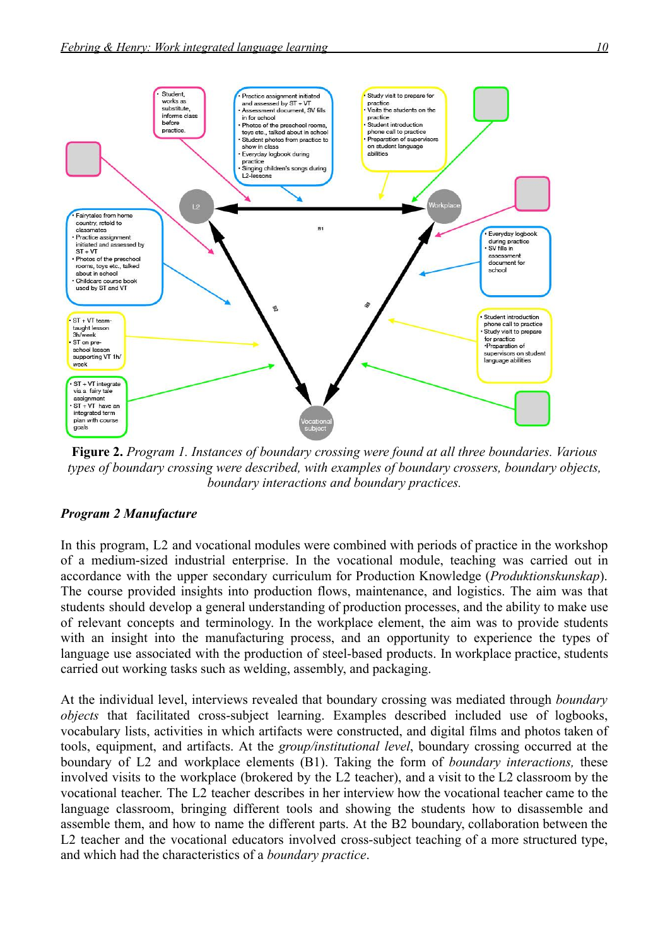

**Figure 2.** *Program 1. Instances of boundary crossing were found at all three boundaries. Various types of boundary crossing were described, with examples of boundary crossers, boundary objects, boundary interactions and boundary practices.*

### *Program 2 Manufacture*

In this program, L2 and vocational modules were combined with periods of practice in the workshop of a medium-sized industrial enterprise. In the vocational module, teaching was carried out in accordance with the upper secondary curriculum for Production Knowledge (*Produktionskunskap*). The course provided insights into production flows, maintenance, and logistics. The aim was that students should develop a general understanding of production processes, and the ability to make use of relevant concepts and terminology. In the workplace element, the aim was to provide students with an insight into the manufacturing process, and an opportunity to experience the types of language use associated with the production of steel-based products. In workplace practice, students carried out working tasks such as welding, assembly, and packaging.

At the individual level, interviews revealed that boundary crossing was mediated through *boundary objects* that facilitated cross-subject learning. Examples described included use of logbooks, vocabulary lists, activities in which artifacts were constructed, and digital films and photos taken of tools, equipment, and artifacts. At the *group/institutional level*, boundary crossing occurred at the boundary of L2 and workplace elements (B1). Taking the form of *boundary interactions,* these involved visits to the workplace (brokered by the L2 teacher), and a visit to the L2 classroom by the vocational teacher. The L2 teacher describes in her interview how the vocational teacher came to the language classroom, bringing different tools and showing the students how to disassemble and assemble them, and how to name the different parts. At the B2 boundary, collaboration between the L2 teacher and the vocational educators involved cross-subject teaching of a more structured type, and which had the characteristics of a *boundary practice*.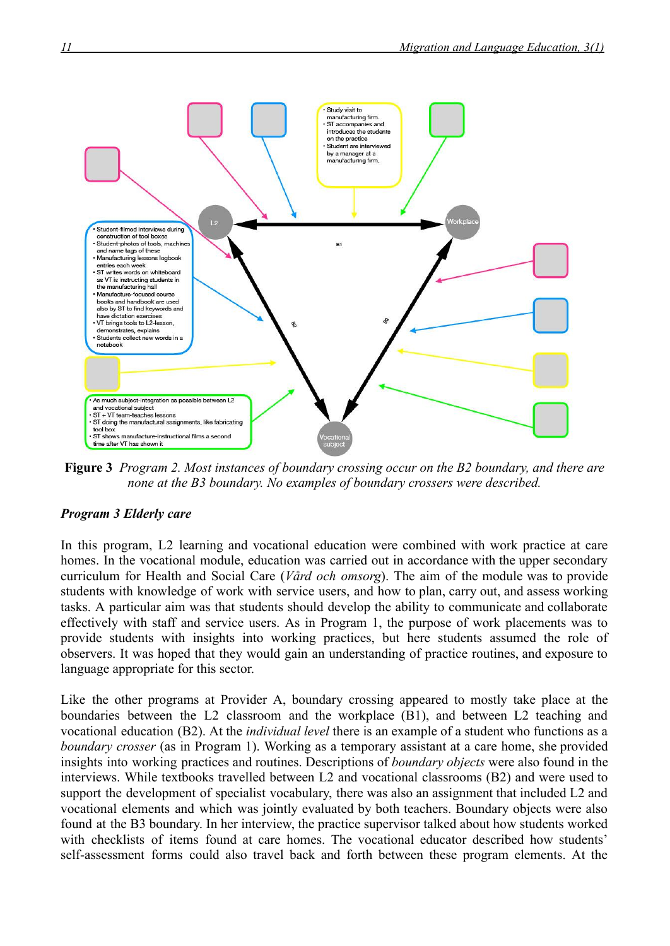

**Figure 3** *Program 2. Most instances of boundary crossing occur on the B2 boundary, and there are none at the B3 boundary. No examples of boundary crossers were described.*

# *Program 3 Elderly care*

In this program, L2 learning and vocational education were combined with work practice at care homes. In the vocational module, education was carried out in accordance with the upper secondary curriculum for Health and Social Care (*Vård och omsorg*). The aim of the module was to provide students with knowledge of work with service users, and how to plan, carry out, and assess working tasks. A particular aim was that students should develop the ability to communicate and collaborate effectively with staff and service users. As in Program 1, the purpose of work placements was to provide students with insights into working practices, but here students assumed the role of observers. It was hoped that they would gain an understanding of practice routines, and exposure to language appropriate for this sector.

Like the other programs at Provider A, boundary crossing appeared to mostly take place at the boundaries between the L2 classroom and the workplace (B1), and between L2 teaching and vocational education (B2). At the *individual level* there is an example of a student who functions as a *boundary crosser* (as in Program 1). Working as a temporary assistant at a care home, she provided insights into working practices and routines. Descriptions of *boundary objects* were also found in the interviews. While textbooks travelled between L2 and vocational classrooms (B2) and were used to support the development of specialist vocabulary, there was also an assignment that included L2 and vocational elements and which was jointly evaluated by both teachers. Boundary objects were also found at the B3 boundary. In her interview, the practice supervisor talked about how students worked with checklists of items found at care homes. The vocational educator described how students' self-assessment forms could also travel back and forth between these program elements. At the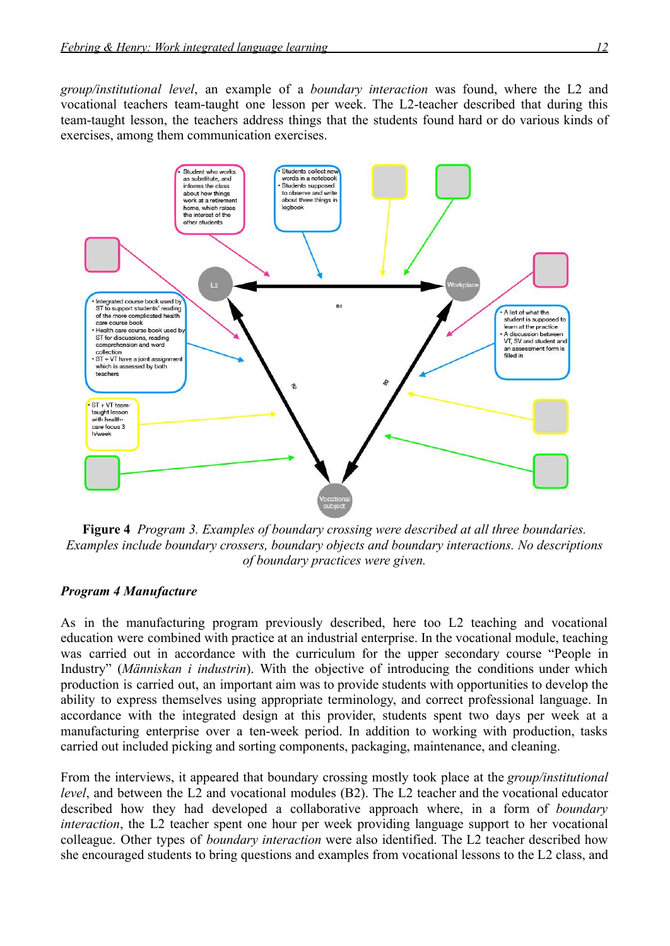*group/institutional level*, an example of a *boundary interaction* was found, where the L2 and vocational teachers team-taught one lesson per week. The L2-teacher described that during this team-taught lesson, the teachers address things that the students found hard or do various kinds of exercises, among them communication exercises.



**Figure 4** *Program 3. Examples of boundary crossing were described at all three boundaries. Examples include boundary crossers, boundary objects and boundary interactions. No descriptions of boundary practices were given.*

### *Program 4 Manufacture*

As in the manufacturing program previously described, here too L2 teaching and vocational education were combined with practice at an industrial enterprise. In the vocational module, teaching was carried out in accordance with the curriculum for the upper secondary course "People in Industry" (*Människan i industrin*). With the objective of introducing the conditions under which production is carried out, an important aim was to provide students with opportunities to develop the ability to express themselves using appropriate terminology, and correct professional language. In accordance with the integrated design at this provider, students spent two days per week at a manufacturing enterprise over a ten-week period. In addition to working with production, tasks carried out included picking and sorting components, packaging, maintenance, and cleaning.

From the interviews, it appeared that boundary crossing mostly took place at the *group/institutional level*, and between the L2 and vocational modules (B2). The L2 teacher and the vocational educator described how they had developed a collaborative approach where, in a form of *boundary interaction*, the L2 teacher spent one hour per week providing language support to her vocational colleague. Other types of *boundary interaction* were also identified. The L2 teacher described how she encouraged students to bring questions and examples from vocational lessons to the L2 class, and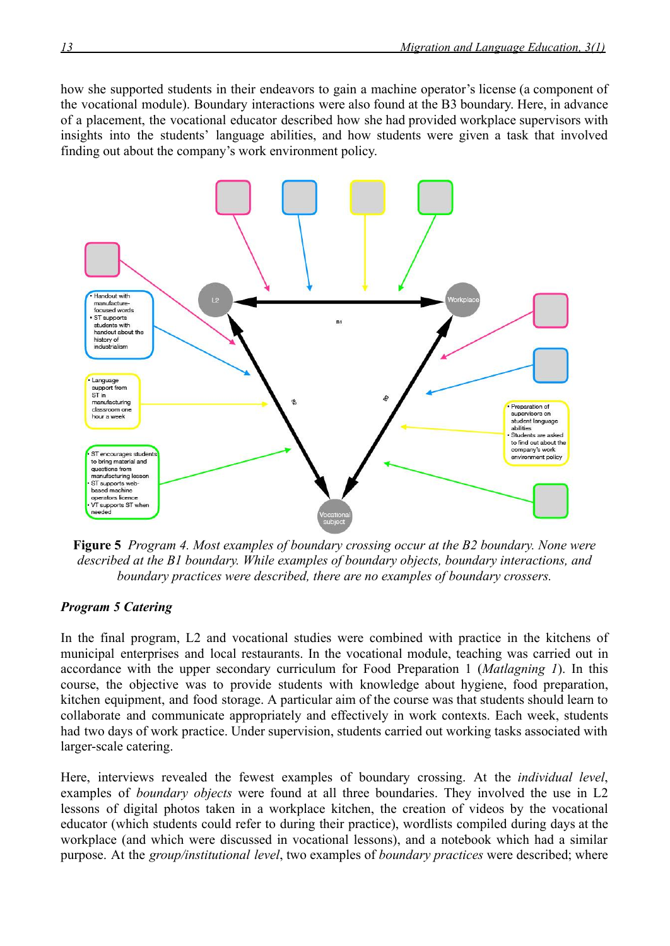how she supported students in their endeavors to gain a machine operator's license (a component of the vocational module). Boundary interactions were also found at the B3 boundary. Here, in advance of a placement, the vocational educator described how she had provided workplace supervisors with insights into the students' language abilities, and how students were given a task that involved finding out about the company's work environment policy.



**Figure 5** *Program 4. Most examples of boundary crossing occur at the B2 boundary. None were described at the B1 boundary. While examples of boundary objects, boundary interactions, and boundary practices were described, there are no examples of boundary crossers.*

# *Program 5 Catering*

In the final program, L2 and vocational studies were combined with practice in the kitchens of municipal enterprises and local restaurants. In the vocational module, teaching was carried out in accordance with the upper secondary curriculum for Food Preparation 1 (*Matlagning 1*). In this course, the objective was to provide students with knowledge about hygiene, food preparation, kitchen equipment, and food storage. A particular aim of the course was that students should learn to collaborate and communicate appropriately and effectively in work contexts. Each week, students had two days of work practice. Under supervision, students carried out working tasks associated with larger-scale catering.

Here, interviews revealed the fewest examples of boundary crossing. At the *individual level*, examples of *boundary objects* were found at all three boundaries. They involved the use in L2 lessons of digital photos taken in a workplace kitchen, the creation of videos by the vocational educator (which students could refer to during their practice), wordlists compiled during days at the workplace (and which were discussed in vocational lessons), and a notebook which had a similar purpose. At the *group/institutional level*, two examples of *boundary practices* were described; where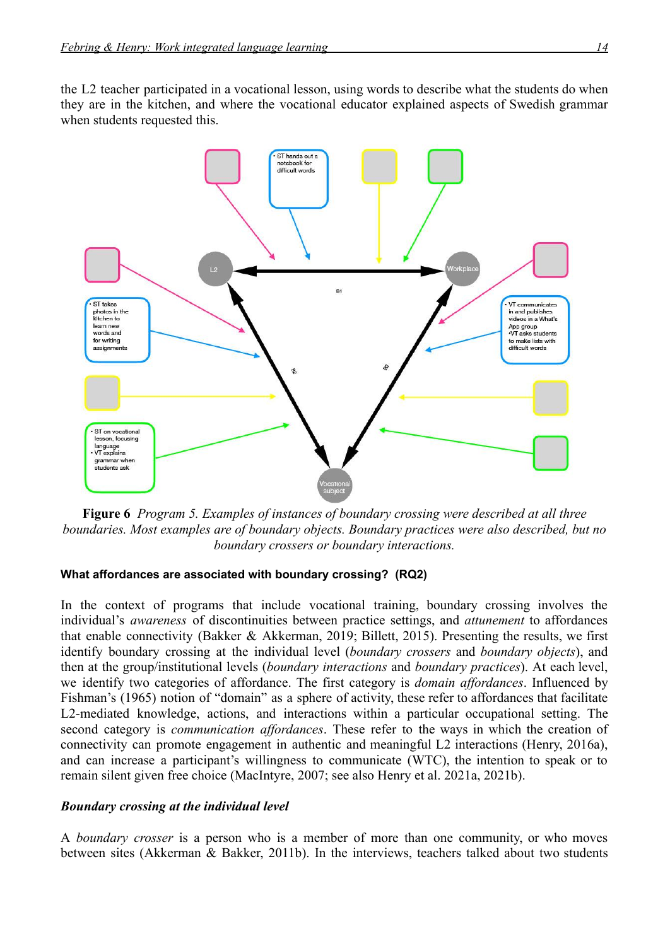the L2 teacher participated in a vocational lesson, using words to describe what the students do when they are in the kitchen, and where the vocational educator explained aspects of Swedish grammar when students requested this.



**Figure 6** *Program 5. Examples of instances of boundary crossing were described at all three boundaries. Most examples are of boundary objects. Boundary practices were also described, but no boundary crossers or boundary interactions.*

### **What affordances are associated with boundary crossing? (RQ2)**

In the context of programs that include vocational training, boundary crossing involves the individual's *awareness* of discontinuities between practice settings, and *attunement* to affordances that enable connectivity (Bakker & Akkerman, 2019; Billett, 2015). Presenting the results, we first identify boundary crossing at the individual level (*boundary crossers* and *boundary objects*), and then at the group/institutional levels (*boundary interactions* and *boundary practices*). At each level, we identify two categories of affordance. The first category is *domain affordances*. Influenced by Fishman's (1965) notion of "domain" as a sphere of activity, these refer to affordances that facilitate L2-mediated knowledge, actions, and interactions within a particular occupational setting. The second category is *communication affordances*. These refer to the ways in which the creation of connectivity can promote engagement in authentic and meaningful L2 interactions (Henry, 2016a), and can increase a participant's willingness to communicate (WTC), the intention to speak or to remain silent given free choice (MacIntyre, 2007; see also Henry et al. 2021a, 2021b).

### *Boundary crossing at the individual level*

A *boundary crosser* is a person who is a member of more than one community, or who moves between sites (Akkerman & Bakker, 2011b). In the interviews, teachers talked about two students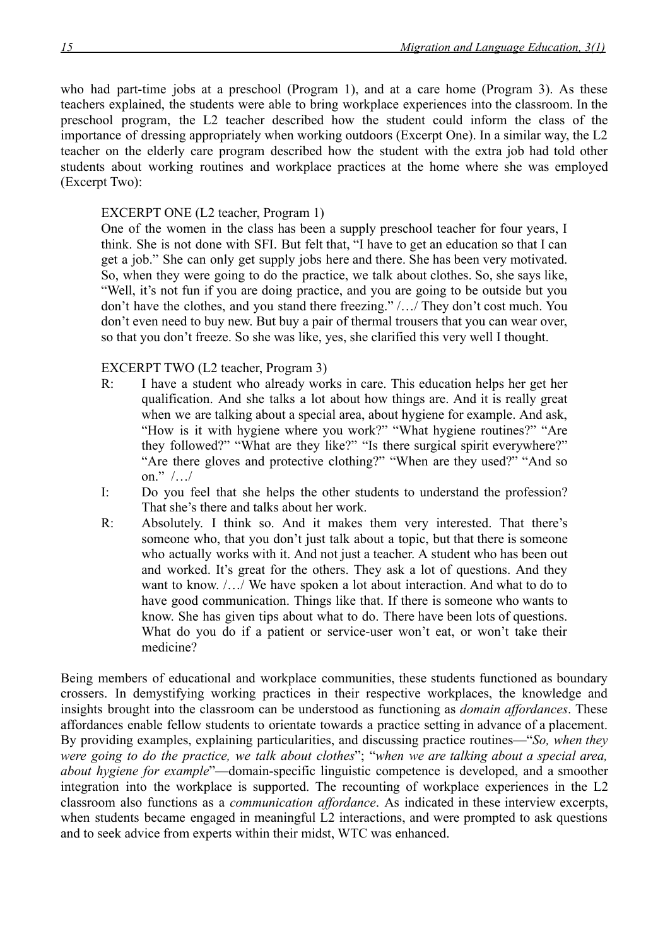who had part-time jobs at a preschool (Program 1), and at a care home (Program 3). As these teachers explained, the students were able to bring workplace experiences into the classroom. In the preschool program, the L2 teacher described how the student could inform the class of the importance of dressing appropriately when working outdoors (Excerpt One). In a similar way, the L2 teacher on the elderly care program described how the student with the extra job had told other students about working routines and workplace practices at the home where she was employed (Excerpt Two):

# EXCERPT ONE (L2 teacher, Program 1)

One of the women in the class has been a supply preschool teacher for four years, I think. She is not done with SFI. But felt that, "I have to get an education so that I can get a job." She can only get supply jobs here and there. She has been very motivated. So, when they were going to do the practice, we talk about clothes. So, she says like, "Well, it's not fun if you are doing practice, and you are going to be outside but you don't have the clothes, and you stand there freezing." /…/ They don't cost much. You don't even need to buy new. But buy a pair of thermal trousers that you can wear over, so that you don't freeze. So she was like, yes, she clarified this very well I thought.

## EXCERPT TWO (L2 teacher, Program 3)

- R: I have a student who already works in care. This education helps her get her qualification. And she talks a lot about how things are. And it is really great when we are talking about a special area, about hygiene for example. And ask, "How is it with hygiene where you work?" "What hygiene routines?" "Are they followed?" "What are they like?" "Is there surgical spirit everywhere?" "Are there gloves and protective clothing?" "When are they used?" "And so on." /…/
- I: Do you feel that she helps the other students to understand the profession? That she's there and talks about her work.
- R: Absolutely. I think so. And it makes them very interested. That there's someone who, that you don't just talk about a topic, but that there is someone who actually works with it. And not just a teacher. A student who has been out and worked. It's great for the others. They ask a lot of questions. And they want to know. /…/ We have spoken a lot about interaction. And what to do to have good communication. Things like that. If there is someone who wants to know. She has given tips about what to do. There have been lots of questions. What do you do if a patient or service-user won't eat, or won't take their medicine?

Being members of educational and workplace communities, these students functioned as boundary crossers. In demystifying working practices in their respective workplaces, the knowledge and insights brought into the classroom can be understood as functioning as *domain affordances*. These affordances enable fellow students to orientate towards a practice setting in advance of a placement. By providing examples, explaining particularities, and discussing practice routines—"*So, when they were going to do the practice, we talk about clothes*"; "*when we are talking about a special area, about hygiene for example*"—domain-specific linguistic competence is developed, and a smoother integration into the workplace is supported. The recounting of workplace experiences in the L2 classroom also functions as a *communication affordance*. As indicated in these interview excerpts, when students became engaged in meaningful L2 interactions, and were prompted to ask questions and to seek advice from experts within their midst, WTC was enhanced.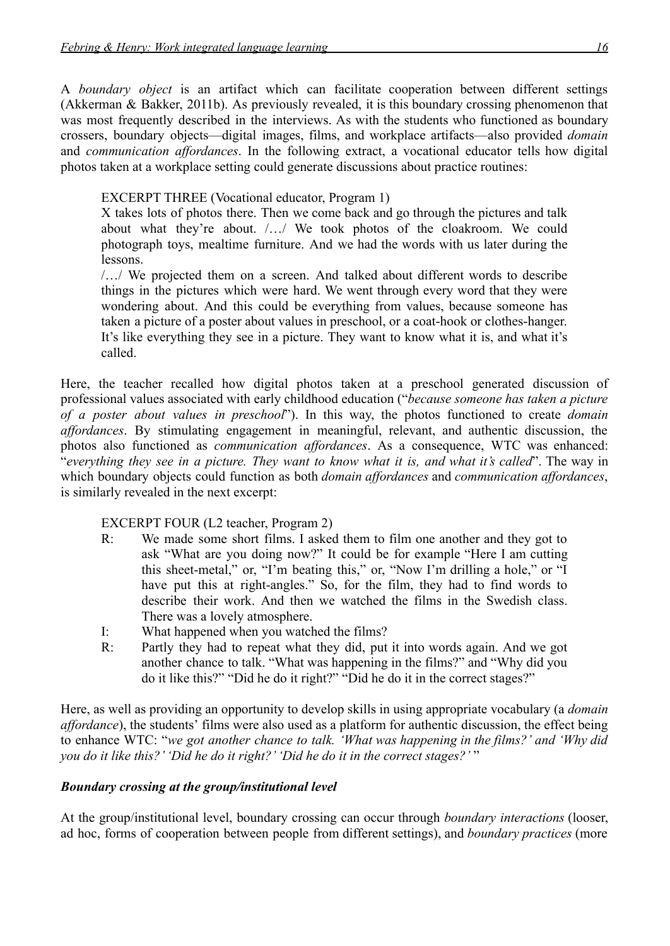A *boundary object* is an artifact which can facilitate cooperation between different settings (Akkerman & Bakker, 2011b). As previously revealed, it is this boundary crossing phenomenon that was most frequently described in the interviews. As with the students who functioned as boundary crossers, boundary objects—digital images, films, and workplace artifacts—also provided *domain* and *communication affordances*. In the following extract, a vocational educator tells how digital photos taken at a workplace setting could generate discussions about practice routines:

EXCERPT THREE (Vocational educator, Program 1)

X takes lots of photos there. Then we come back and go through the pictures and talk about what they're about. /…/ We took photos of the cloakroom. We could photograph toys, mealtime furniture. And we had the words with us later during the lessons.

/…/ We projected them on a screen. And talked about different words to describe things in the pictures which were hard. We went through every word that they were wondering about. And this could be everything from values, because someone has taken a picture of a poster about values in preschool, or a coat-hook or clothes-hanger. It's like everything they see in a picture. They want to know what it is, and what it's called.

Here, the teacher recalled how digital photos taken at a preschool generated discussion of professional values associated with early childhood education ("*because someone has taken a picture of a poster about values in preschool*"). In this way, the photos functioned to create *domain affordances*. By stimulating engagement in meaningful, relevant, and authentic discussion, the photos also functioned as *communication affordances*. As a consequence, WTC was enhanced: "*everything they see in a picture. They want to know what it is, and what it's called*". The way in which boundary objects could function as both *domain affordances* and *communication affordances*, is similarly revealed in the next excerpt:

EXCERPT FOUR (L2 teacher, Program 2)

- R: We made some short films. I asked them to film one another and they got to ask "What are you doing now?" It could be for example "Here I am cutting this sheet-metal," or, "I'm beating this," or, "Now I'm drilling a hole," or "I have put this at right-angles." So, for the film, they had to find words to describe their work. And then we watched the films in the Swedish class. There was a lovely atmosphere.
- I: What happened when you watched the films?
- R: Partly they had to repeat what they did, put it into words again. And we got another chance to talk. "What was happening in the films?" and "Why did you do it like this?" "Did he do it right?" "Did he do it in the correct stages?"

Here, as well as providing an opportunity to develop skills in using appropriate vocabulary (a *domain affordance*), the students' films were also used as a platform for authentic discussion, the effect being to enhance WTC: "*we got another chance to talk. 'What was happening in the films?' and 'Why did you do it like this?' 'Did he do it right?' 'Did he do it in the correct stages?'* "

# *Boundary crossing at the group/institutional level*

At the group/institutional level, boundary crossing can occur through *boundary interactions* (looser, ad hoc, forms of cooperation between people from different settings), and *boundary practices* (more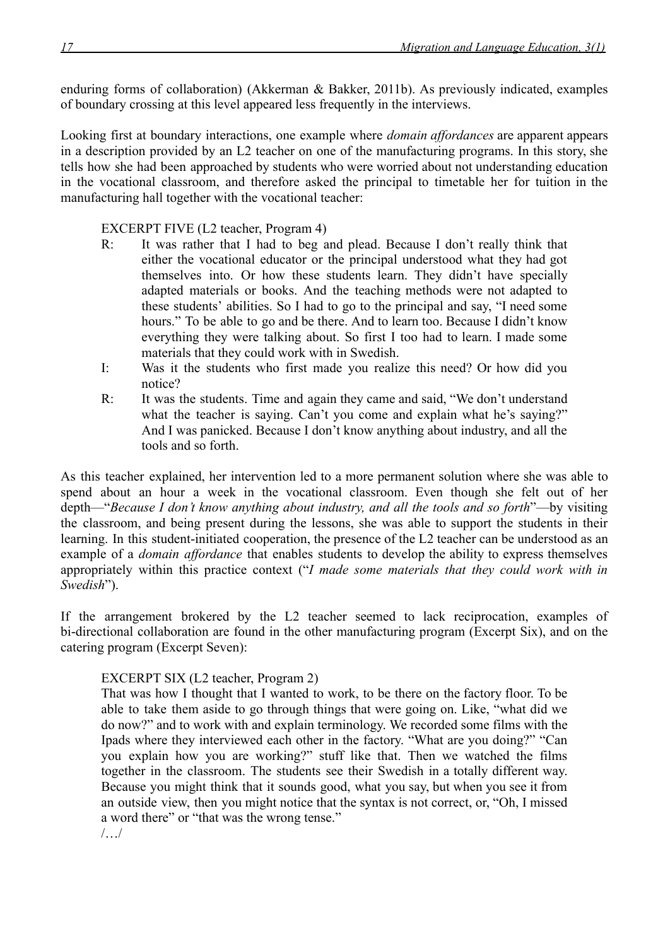enduring forms of collaboration) (Akkerman & Bakker, 2011b). As previously indicated, examples of boundary crossing at this level appeared less frequently in the interviews.

Looking first at boundary interactions, one example where *domain affordances* are apparent appears in a description provided by an L2 teacher on one of the manufacturing programs. In this story, she tells how she had been approached by students who were worried about not understanding education in the vocational classroom, and therefore asked the principal to timetable her for tuition in the manufacturing hall together with the vocational teacher:

## EXCERPT FIVE (L2 teacher, Program 4)

- R: It was rather that I had to beg and plead. Because I don't really think that either the vocational educator or the principal understood what they had got themselves into. Or how these students learn. They didn't have specially adapted materials or books. And the teaching methods were not adapted to these students' abilities. So I had to go to the principal and say, "I need some hours." To be able to go and be there. And to learn too. Because I didn't know everything they were talking about. So first I too had to learn. I made some materials that they could work with in Swedish.
- I: Was it the students who first made you realize this need? Or how did you notice?
- R: It was the students. Time and again they came and said, "We don't understand what the teacher is saying. Can't you come and explain what he's saying?" And I was panicked. Because I don't know anything about industry, and all the tools and so forth.

As this teacher explained, her intervention led to a more permanent solution where she was able to spend about an hour a week in the vocational classroom. Even though she felt out of her depth—"*Because I don't know anything about industry, and all the tools and so forth*"—by visiting the classroom, and being present during the lessons, she was able to support the students in their learning. In this student-initiated cooperation, the presence of the L2 teacher can be understood as an example of a *domain affordance* that enables students to develop the ability to express themselves appropriately within this practice context ("*I made some materials that they could work with in Swedish*").

If the arrangement brokered by the L2 teacher seemed to lack reciprocation, examples of bi-directional collaboration are found in the other manufacturing program (Excerpt Six), and on the catering program (Excerpt Seven):

# EXCERPT SIX (L2 teacher, Program 2)

That was how I thought that I wanted to work, to be there on the factory floor. To be able to take them aside to go through things that were going on. Like, "what did we do now?" and to work with and explain terminology. We recorded some films with the Ipads where they interviewed each other in the factory. "What are you doing?" "Can you explain how you are working?" stuff like that. Then we watched the films together in the classroom. The students see their Swedish in a totally different way. Because you might think that it sounds good, what you say, but when you see it from an outside view, then you might notice that the syntax is not correct, or, "Oh, I missed a word there" or "that was the wrong tense."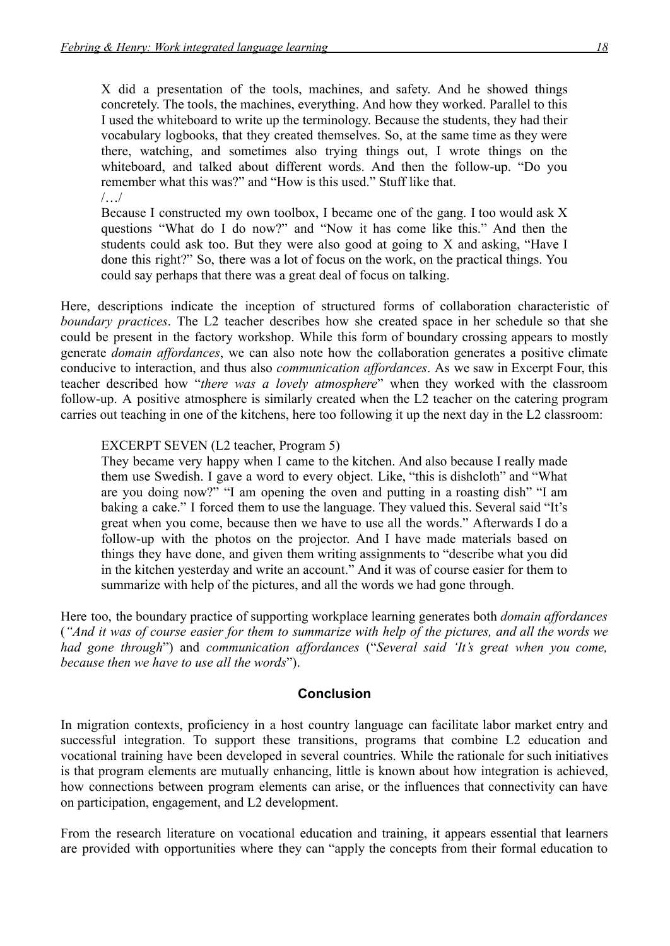X did a presentation of the tools, machines, and safety. And he showed things concretely. The tools, the machines, everything. And how they worked. Parallel to this I used the whiteboard to write up the terminology. Because the students, they had their vocabulary logbooks, that they created themselves. So, at the same time as they were there, watching, and sometimes also trying things out, I wrote things on the whiteboard, and talked about different words. And then the follow-up. "Do you remember what this was?" and "How is this used." Stuff like that. /…/

Because I constructed my own toolbox, I became one of the gang. I too would ask X questions "What do I do now?" and "Now it has come like this." And then the students could ask too. But they were also good at going to X and asking, "Have I done this right?" So, there was a lot of focus on the work, on the practical things. You could say perhaps that there was a great deal of focus on talking.

Here, descriptions indicate the inception of structured forms of collaboration characteristic of *boundary practices*. The L2 teacher describes how she created space in her schedule so that she could be present in the factory workshop. While this form of boundary crossing appears to mostly generate *domain affordances*, we can also note how the collaboration generates a positive climate conducive to interaction, and thus also *communication affordances*. As we saw in Excerpt Four, this teacher described how "*there was a lovely atmosphere*" when they worked with the classroom follow-up. A positive atmosphere is similarly created when the L2 teacher on the catering program carries out teaching in one of the kitchens, here too following it up the next day in the L2 classroom:

### EXCERPT SEVEN (L2 teacher, Program 5)

They became very happy when I came to the kitchen. And also because I really made them use Swedish. I gave a word to every object. Like, "this is dishcloth" and "What are you doing now?" "I am opening the oven and putting in a roasting dish" "I am baking a cake." I forced them to use the language. They valued this. Several said "It's great when you come, because then we have to use all the words." Afterwards I do a follow-up with the photos on the projector. And I have made materials based on things they have done, and given them writing assignments to "describe what you did in the kitchen yesterday and write an account." And it was of course easier for them to summarize with help of the pictures, and all the words we had gone through.

Here too, the boundary practice of supporting workplace learning generates both *domain affordances* ("And it was of course easier for them to summarize with help of the pictures, and all the words we *had gone through*") and *communication affordances* ("*Several said 'It's great when you come, because then we have to use all the words*").

### **Conclusion**

In migration contexts, proficiency in a host country language can facilitate labor market entry and successful integration. To support these transitions, programs that combine L2 education and vocational training have been developed in several countries. While the rationale for such initiatives is that program elements are mutually enhancing, little is known about how integration is achieved, how connections between program elements can arise, or the influences that connectivity can have on participation, engagement, and L2 development.

From the research literature on vocational education and training, it appears essential that learners are provided with opportunities where they can "apply the concepts from their formal education to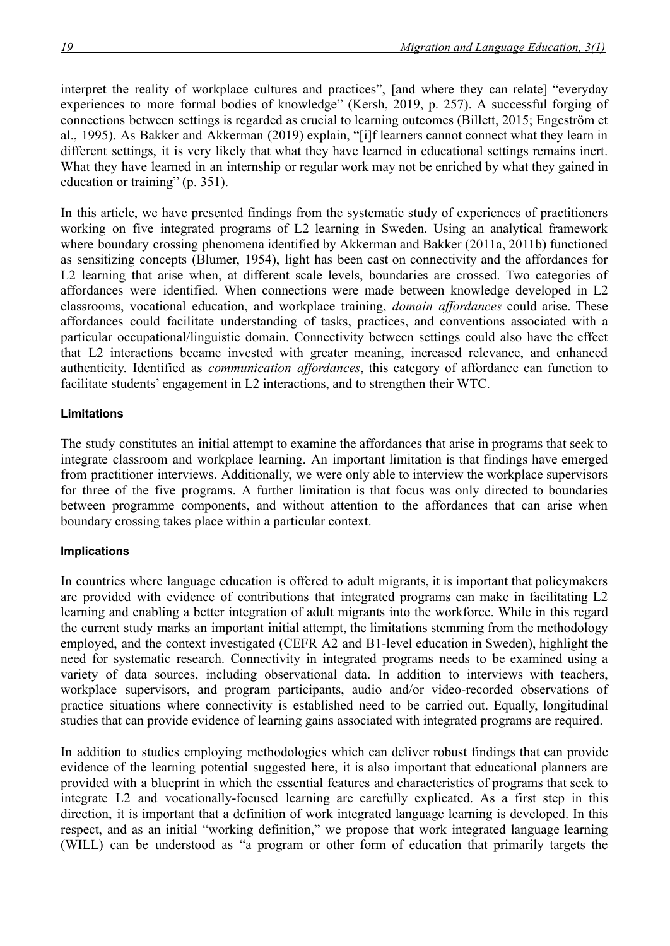interpret the reality of workplace cultures and practices", [and where they can relate] "everyday experiences to more formal bodies of knowledge" (Kersh, 2019, p. 257). A successful forging of connections between settings is regarded as crucial to learning outcomes (Billett, 2015; Engeström et al., 1995). As Bakker and Akkerman (2019) explain, "[i]f learners cannot connect what they learn in different settings, it is very likely that what they have learned in educational settings remains inert. What they have learned in an internship or regular work may not be enriched by what they gained in education or training" (p. 351).

In this article, we have presented findings from the systematic study of experiences of practitioners working on five integrated programs of L2 learning in Sweden. Using an analytical framework where boundary crossing phenomena identified by Akkerman and Bakker (2011a, 2011b) functioned as sensitizing concepts (Blumer, 1954), light has been cast on connectivity and the affordances for L2 learning that arise when, at different scale levels, boundaries are crossed. Two categories of affordances were identified. When connections were made between knowledge developed in L2 classrooms, vocational education, and workplace training, *domain affordances* could arise. These affordances could facilitate understanding of tasks, practices, and conventions associated with a particular occupational/linguistic domain. Connectivity between settings could also have the effect that L2 interactions became invested with greater meaning, increased relevance, and enhanced authenticity. Identified as *communication affordances*, this category of affordance can function to facilitate students' engagement in L2 interactions, and to strengthen their WTC.

## **Limitations**

The study constitutes an initial attempt to examine the affordances that arise in programs that seek to integrate classroom and workplace learning. An important limitation is that findings have emerged from practitioner interviews. Additionally, we were only able to interview the workplace supervisors for three of the five programs. A further limitation is that focus was only directed to boundaries between programme components, and without attention to the affordances that can arise when boundary crossing takes place within a particular context.

### **Implications**

In countries where language education is offered to adult migrants, it is important that policymakers are provided with evidence of contributions that integrated programs can make in facilitating L2 learning and enabling a better integration of adult migrants into the workforce. While in this regard the current study marks an important initial attempt, the limitations stemming from the methodology employed, and the context investigated (CEFR A2 and B1-level education in Sweden), highlight the need for systematic research. Connectivity in integrated programs needs to be examined using a variety of data sources, including observational data. In addition to interviews with teachers, workplace supervisors, and program participants, audio and/or video-recorded observations of practice situations where connectivity is established need to be carried out. Equally, longitudinal studies that can provide evidence of learning gains associated with integrated programs are required.

In addition to studies employing methodologies which can deliver robust findings that can provide evidence of the learning potential suggested here, it is also important that educational planners are provided with a blueprint in which the essential features and characteristics of programs that seek to integrate L2 and vocationally-focused learning are carefully explicated. As a first step in this direction, it is important that a definition of work integrated language learning is developed. In this respect, and as an initial "working definition," we propose that work integrated language learning (WILL) can be understood as "a program or other form of education that primarily targets the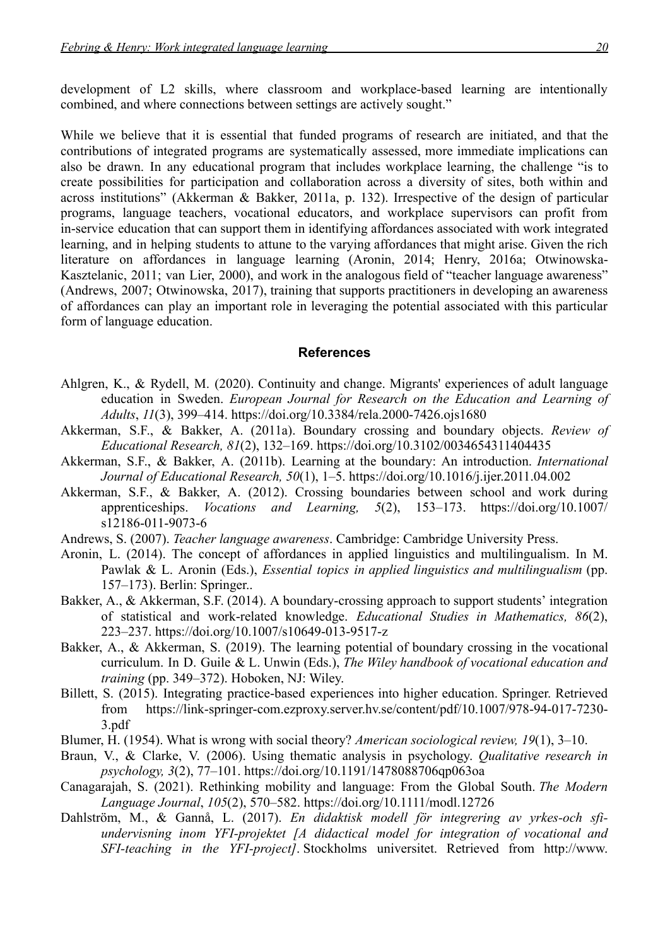development of L2 skills, where classroom and workplace-based learning are intentionally combined, and where connections between settings are actively sought."

While we believe that it is essential that funded programs of research are initiated, and that the contributions of integrated programs are systematically assessed, more immediate implications can also be drawn. In any educational program that includes workplace learning, the challenge "is to create possibilities for participation and collaboration across a diversity of sites, both within and across institutions" (Akkerman & Bakker, 2011a, p. 132). Irrespective of the design of particular programs, language teachers, vocational educators, and workplace supervisors can profit from in-service education that can support them in identifying affordances associated with work integrated learning, and in helping students to attune to the varying affordances that might arise. Given the rich literature on affordances in language learning (Aronin, 2014; Henry, 2016a; Otwinowska-Kasztelanic, 2011; van Lier, 2000), and work in the analogous field of "teacher language awareness" (Andrews, 2007; Otwinowska, 2017), training that supports practitioners in developing an awareness of affordances can play an important role in leveraging the potential associated with this particular form of language education.

## **References**

- Ahlgren, K., & Rydell, M. (2020). Continuity and change. Migrants' experiences of adult language education in Sweden. *European Journal for Research on the Education and Learning of Adults*, *11*(3), 399–414. <https://doi.org/10.3384/rela.2000-7426.ojs1680>
- Akkerman, S.F., & Bakker, A. (2011a). Boundary crossing and boundary objects. *Review of Educational Research, 81*(2), 132–169. <https://doi.org/10.3102/0034654311404435>
- Akkerman, S.F., & Bakker, A. (2011b). Learning at the boundary: An introduction. *International Journal of Educational Research, 50*(1), 1–5. <https://doi.org/10.1016/j.ijer.2011.04.002>
- Akkerman, S.F., & Bakker, A. (2012). Crossing boundaries between school and work during apprenticeships. *Vocations and Learning, 5*(2), 153–173. [https://doi.org/10.1007/](https://doi.org/10.1007/s12186-011-9073-6) [s12186-011-9073-6](https://doi.org/10.1007/s12186-011-9073-6)
- Andrews, S. (2007). *Teacher language awareness*. Cambridge: Cambridge University Press.
- Aronin, L. (2014). The concept of affordances in applied linguistics and multilingualism. In M. Pawlak & L. Aronin (Eds.), *Essential topics in applied linguistics and multilingualism* (pp. 157–173). Berlin: Springer..
- Bakker, A., & Akkerman, S.F. (2014). A boundary-crossing approach to support students' integration of statistical and work-related knowledge. *Educational Studies in Mathematics, 86*(2), 223–237. <https://doi.org/10.1007/s10649-013-9517-z>
- Bakker, A., & Akkerman, S. (2019). The learning potential of boundary crossing in the vocational curriculum. In D. Guile & L. Unwin (Eds.), *The Wiley handbook of vocational education and training* (pp. 349–372). Hoboken, NJ: Wiley.
- Billett, S. (2015). Integrating practice-based experiences into higher education. Springer. Retrieved from [https://link-springer-com.ezproxy.server.hv.se/content/pdf/10.1007/978-94-017-7230-](https://link-springer-com.ezproxy.server.hv.se/content/pdf/10.1007/978-94-017-7230-3.pdf) [3.pdf](https://link-springer-com.ezproxy.server.hv.se/content/pdf/10.1007/978-94-017-7230-3.pdf)
- Blumer, H. (1954). What is wrong with social theory? *American sociological review, 19*(1), 3–10.
- Braun, V., & Clarke, V. (2006). Using thematic analysis in psychology. *Qualitative research in psychology, 3*(2), 77–101. <https://doi.org/10.1191/1478088706qp063oa>
- Canagarajah, S. (2021). Rethinking mobility and language: From the Global South. *The Modern Language Journal*, *105*(2), 570–582. <https://doi.org/10.1111/modl.12726>
- Dahlström, M., & Gannå, L. (2017). *En didaktisk modell för integrering av yrkes-och sfiundervisning inom YFI-projektet [A didactical model for integration of vocational and SFI-teaching in the YFI-project]*. Stockholms universitet. Retrieved from [http://www.](http://www.andrasprak.su.se/polopoly_fs/1.382792.1524165322!/menu/standard/file/Didaktisk%20modell%20YFI%20NC.pdf)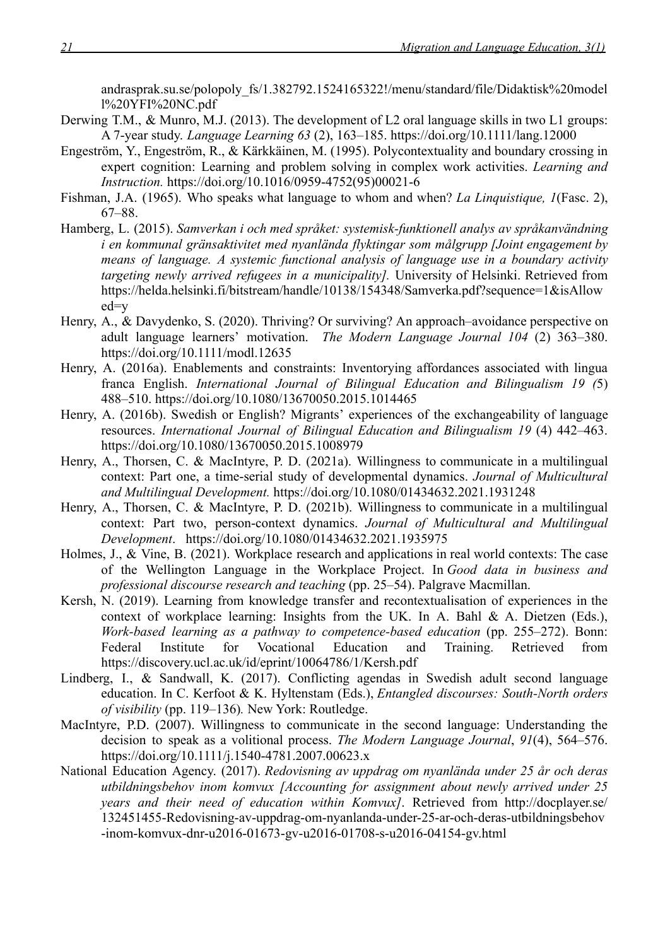[andrasprak.su.se/polopoly\\_fs/1.382792.1524165322!/menu/standard/file/Didaktisk%20model](http://www.andrasprak.su.se/polopoly_fs/1.382792.1524165322!/menu/standard/file/Didaktisk%20modell%20YFI%20NC.pdf) [l%20YFI%20NC.pdf](http://www.andrasprak.su.se/polopoly_fs/1.382792.1524165322!/menu/standard/file/Didaktisk%20modell%20YFI%20NC.pdf)

- Derwing T.M., & Munro, M.J. (2013). The development of L2 oral language skills in two L1 groups: A 7-year study. *Language Learning 63* (2), 163–185. <https://doi.org/10.1111/lang.12000>
- Engeström, Y., Engeström, R., & Kärkkäinen, M. (1995). Polycontextuality and boundary crossing in expert cognition: Learning and problem solving in complex work activities. *Learning and Instruction.* [https://doi.org/10.1016/0959-4752\(95\)00021-6](https://doi.org/10.1016/0959-4752(95)00021-6)
- Fishman, J.A. (1965). Who speaks what language to whom and when? *La Linquistique, 1*(Fasc. 2), 67–88.
- Hamberg, L. (2015). *Samverkan i och med språket: systemisk-funktionell analys av språkanvändning i en kommunal gränsaktivitet med nyanlända flyktingar som målgrupp [Joint engagement by means of language. A systemic functional analysis of language use in a boundary activity targeting newly arrived refugees in a municipality].* University of Helsinki. Retrieved from [https://helda.helsinki.fi/bitstream/handle/10138/154348/Samverka.pdf?sequence=1&isAllow](https://helda.helsinki.fi/bitstream/handle/10138/154348/Samverka.pdf?sequence=1&isAllowed=y) [ed=y](https://helda.helsinki.fi/bitstream/handle/10138/154348/Samverka.pdf?sequence=1&isAllowed=y)
- Henry, A., & Davydenko, S. (2020). Thriving? Or surviving? An approach–avoidance perspective on adult language learners' motivation. *The Modern Language Journal 104* (2) 363–380. <https://doi.org/10.1111/modl.12635>
- Henry, A. (2016a). Enablements and constraints: Inventorying affordances associated with lingua franca English. *International Journal of Bilingual Education and Bilingualism 19 (*5) 488–510. <https://doi.org/10.1080/13670050.2015.1014465>
- Henry, A. (2016b). Swedish or English? Migrants' experiences of the exchangeability of language resources. *International Journal of Bilingual Education and Bilingualism 19* (4) 442–463. <https://doi.org/10.1080/13670050.2015.1008979>
- Henry, A., Thorsen, C. & MacIntyre, P. D. (2021a). Willingness to communicate in a multilingual context: Part one, a time-serial study of developmental dynamics. *Journal of Multicultural and Multilingual Development.* <https://doi.org/10.1080/01434632.2021.1931248>
- Henry, A., Thorsen, C. & MacIntyre, P. D. (2021b). Willingness to communicate in a multilingual context: Part two, person-context dynamics. *Journal of Multicultural and Multilingual Development*. <https://doi.org/10.1080/01434632.2021.1935975>
- Holmes, J., & Vine, B. (2021). Workplace research and applications in real world contexts: The case of the Wellington Language in the Workplace Project. In *Good data in business and professional discourse research and teaching* (pp. 25–54). Palgrave Macmillan.
- Kersh, N. (2019). Learning from knowledge transfer and recontextualisation of experiences in the context of workplace learning: Insights from the UK. In A. Bahl & A. Dietzen (Eds.), *Work-based learning as a pathway to competence-based education* (pp. 255–272). Bonn: Federal Institute for Vocational Education and Training. Retrieved from <https://discovery.ucl.ac.uk/id/eprint/10064786/1/Kersh.pdf>
- Lindberg, I., & Sandwall, K. (2017). Conflicting agendas in Swedish adult second language education. In C. Kerfoot & K. Hyltenstam (Eds.), *Entangled discourses: South-North orders of visibility* (pp. 119–136)*.* New York: Routledge.
- MacIntyre, P.D. (2007). Willingness to communicate in the second language: Understanding the decision to speak as a volitional process. *The Modern Language Journal*, *91*(4), 564–576. <https://doi.org/10.1111/j.1540-4781.2007.00623.x>
- National Education Agency. (2017). *Redovisning av uppdrag om nyanlända under 25 år och deras utbildningsbehov inom komvux [Accounting for assignment about newly arrived under 25 years and their need of education within Komvux]*. Retrieved from [http://docplayer.se/](http://docplayer.se/132451455-Redovisning-av-uppdrag-om-nyanlanda-under-25-ar-och-deras-utbildningsbehov-inom-komvux-dnr-u2016-01673-gv-u2016-01708-s-u2016-04154-gv.html) [132451455-Redovisning-av-uppdrag-om-nyanlanda-under-25-ar-och-deras-utbildningsbehov](http://docplayer.se/132451455-Redovisning-av-uppdrag-om-nyanlanda-under-25-ar-och-deras-utbildningsbehov-inom-komvux-dnr-u2016-01673-gv-u2016-01708-s-u2016-04154-gv.html) [-inom-komvux-dnr-u2016-01673-gv-u2016-01708-s-u2016-04154-gv.html](http://docplayer.se/132451455-Redovisning-av-uppdrag-om-nyanlanda-under-25-ar-och-deras-utbildningsbehov-inom-komvux-dnr-u2016-01673-gv-u2016-01708-s-u2016-04154-gv.html)